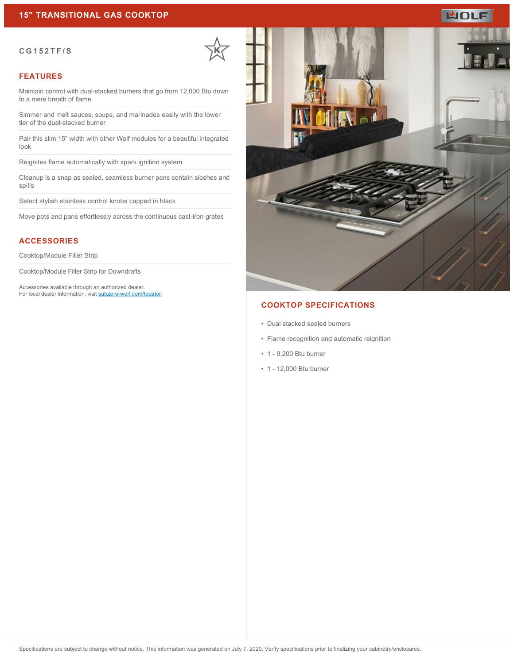#### **CG152TF/S**

## **FEATURES**

Maintain control with dual-stacked burners that go from 12,000 Btu down to a mere breath of flame

Simmer and melt sauces, soups, and marinades easily with the lower tier of the dual-stacked burner

Pair this slim 15" width with other Wolf modules for a beautiful integrated look

Reignites flame automatically with spark ignition system

Cleanup is a snap as sealed, seamless burner pans contain sloshes and spills

Select stylish stainless control knobs capped in black

Move pots and pans effortlessly across the continuous cast-iron grates

# **ACCESSORIES**

Cooktop/Module Filler Strip

Cooktop/Module Filler Strip for Downdrafts

Accessories available through an authorized dealer. For local dealer information, visit [subzero-wolf.com/locator.](http://www.subzero-wolf.com/locator)



## **COOKTOP SPECIFICATIONS**

- Dual stacked sealed burners
- Flame recognition and automatic reignition
- 1 9,200 Btu burner
- 1 12,000 Btu burner